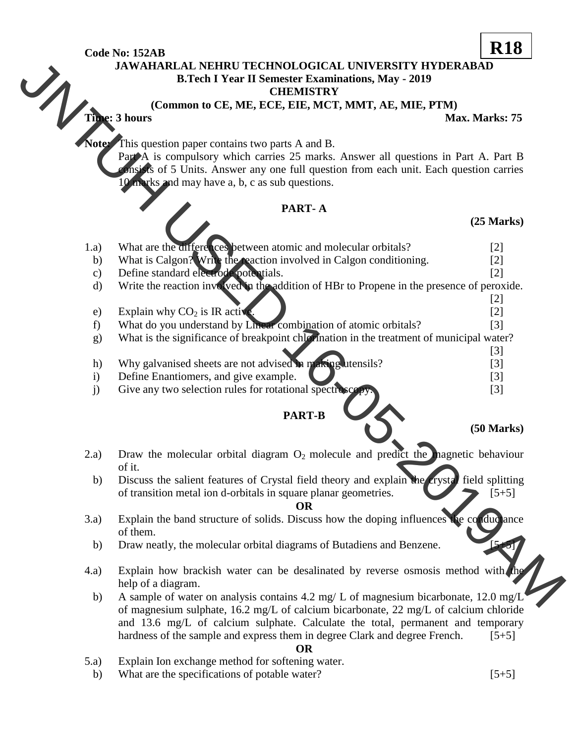**Code No: 152AB**

# **JAWAHARLAL NEHRU TECHNOLOGICAL UNIVERSITY HYDERABAD** B. I ecn 1 1 CHEMISTRY<br>COMMON to CE, ME, ECE, EIE, MCT, MMT, AE, MIE, PTM)<br>Max. Marks: 75<sup>7</sup>

#### **CHEMISTRY**

# **PART- A**

## **(25 Marks)**

|                                                                                      | JAWAHARLAL NEHRU TECHNOLOGICAL UNIVERSITY HYDERABAD                                            |                      |
|--------------------------------------------------------------------------------------|------------------------------------------------------------------------------------------------|----------------------|
|                                                                                      | <b>B.Tech I Year II Semester Examinations, May - 2019</b>                                      |                      |
|                                                                                      | <b>CHEMISTRY</b>                                                                               |                      |
|                                                                                      | (Common to CE, ME, ECE, EIE, MCT, MMT, AE, MIE, PTM)<br>Time: 3 hours                          |                      |
|                                                                                      |                                                                                                | Max. Marks: 75       |
|                                                                                      | <b>Note:</b> This question paper contains two parts A and B.                                   |                      |
|                                                                                      | Part A is compulsory which carries 25 marks. Answer all questions in Part A. Part B            |                      |
|                                                                                      | consists of 5 Units. Answer any one full question from each unit. Each question carries        |                      |
|                                                                                      | 10 marks and may have a, b, c as sub questions.                                                |                      |
|                                                                                      |                                                                                                |                      |
|                                                                                      | PART-A                                                                                         |                      |
|                                                                                      |                                                                                                | $(25$ Marks)         |
|                                                                                      |                                                                                                |                      |
| 1.a)                                                                                 | What are the differences between atomic and molecular orbitals?                                | $[2]$                |
| b)                                                                                   | What is Calgon? Write the reaction involved in Calgon conditioning.                            | $[2]$                |
| $\mathbf{c})$                                                                        | Define standard electrode potentials.                                                          | $[2]$                |
| $\mathbf{d}$                                                                         | Write the reaction involved in the addition of HBr to Propene in the presence of peroxide.     |                      |
|                                                                                      |                                                                                                | $[2]$                |
| e)                                                                                   | Explain why $CO2$ is IR active                                                                 | $[2]$                |
| f)                                                                                   | What do you understand by Linear combination of atomic orbitals?                               | $\lceil 3 \rceil$    |
| g)                                                                                   | What is the significance of breakpoint chip mation in the treatment of municipal water?        |                      |
|                                                                                      |                                                                                                | $[3]$                |
| h)                                                                                   | Why galvanised sheets are not advised in making utensils?                                      | $[3]$                |
| $\mathbf{i}$                                                                         | Define Enantiomers, and give example.                                                          | $[3]$                |
| j)                                                                                   | Give any two selection rules for rotational spectroscop                                        | $[3]$                |
|                                                                                      |                                                                                                |                      |
|                                                                                      | <b>PART-B</b>                                                                                  |                      |
|                                                                                      |                                                                                                | $(50 \text{ Marks})$ |
|                                                                                      |                                                                                                |                      |
| 2.a)                                                                                 | Draw the molecular orbital diagram $O_2$ molecule and predict the magnetic behaviour<br>of it. |                      |
| b)                                                                                   | Discuss the salient features of Crystal field theory and explain the crystal field splitting   |                      |
|                                                                                      | of transition metal ion d-orbitals in square planar geometries.                                | $[5+5]$              |
|                                                                                      | <b>OR</b>                                                                                      |                      |
| 3.a)                                                                                 | Explain the band structure of solids. Discuss how the doping influences the conductance        |                      |
|                                                                                      | of them.                                                                                       |                      |
| b)                                                                                   | Draw neatly, the molecular orbital diagrams of Butadiens and Benzene.                          |                      |
|                                                                                      |                                                                                                |                      |
| (4.a)                                                                                | Explain how brackish water can be desalinated by reverse osmosis method with the               |                      |
|                                                                                      | help of a diagram.                                                                             |                      |
| b)                                                                                   | A sample of water on analysis contains 4.2 mg/ L of magnesium bicarbonate, 12.0 mg/L           |                      |
| of magnesium sulphate, 16.2 mg/L of calcium bicarbonate, 22 mg/L of calcium chloride |                                                                                                |                      |
|                                                                                      | and 13.6 mg/L of calcium sulphate. Calculate the total, permanent and temporary                |                      |
|                                                                                      | hardness of the sample and express them in degree Clark and degree French.                     | $[5+5]$              |
|                                                                                      | <b>OR</b>                                                                                      |                      |
| (5.a)                                                                                | Explain Ion exchange method for softening water.                                               |                      |
| b)                                                                                   | What are the specifications of potable water?                                                  | $[5+5]$              |

# **R18**